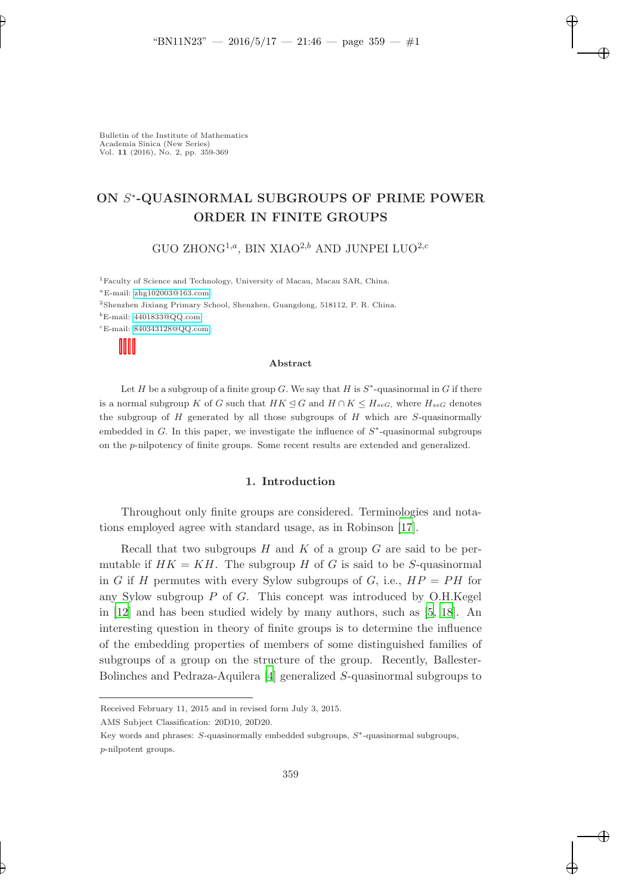# ON S<sup>∗</sup>-QUASINORMAL SUBGROUPS OF PRIME POWER ORDER IN FINITE GROUPS

"BN11N23" — 2016/5/17 — 21:46 — page 359 — #1

GUO ZHONG<sup>1,a</sup>, BIN XIAO<sup>2,b</sup> AND JUNPEI LUO<sup>2,c</sup>

<sup>1</sup>Faculty of Science and Technology, University of Macau, Macau SAR, China.  $^a$ E-mail: [zhg102003@163.com](mailto:zhg102003@163.com) <sup>2</sup>Shenzhen Jixiang Primary School, Shenzhen, Guangdong, 518112, P. R. China.  ${}^{b}$ E-mail: [4401833@QQ.com](mailto: 4401833@QQ.com)

 $\mathrm{cE\text{-}mail: } 840343128@QQ.com$  $\mathrm{cE\text{-}mail: } 840343128@QQ.com$ 

#### Abstract

Let H be a subgroup of a finite group G. We say that H is  $S^*$ -quasinormal in G if there is a normal subgroup K of G such that  $HK \trianglelefteq G$  and  $H \cap K \leq H_{seg}$ , where  $H_{seg}$  denotes the subgroup of  $H$  generated by all those subgroups of  $H$  which are  $S$ -quasinormally embedded in  $G$ . In this paper, we investigate the influence of  $S^*$ -quasinormal subgroups on the p-nilpotency of finite groups. Some recent results are extended and generalized.

### 1. Introduction

Throughout only finite groups are considered. Terminologies and notations employed agree with standard usage, as in Robinson [\[17](#page-10-0)].

Recall that two subgroups  $H$  and  $K$  of a group  $G$  are said to be permutable if  $HK = KH$ . The subgroup H of G is said to be S-quasinormal in G if H permutes with every Sylow subgroups of G, i.e.,  $HP = PH$  for any Sylow subgroup  $P$  of  $G$ . This concept was introduced by O.H.Kegel in [\[12](#page-10-1)] and has been studied widely by many authors, such as [\[5,](#page-9-0) [18](#page-10-2)]. An interesting question in theory of finite groups is to determine the influence of the embedding properties of members of some distinguished families of subgroups of a group on the structure of the group. Recently, Ballester-Bolinches and Pedraza-Aquilera [\[4](#page-9-1)] generalized S-quasinormal subgroups to

AMS Subject Classification: 20D10, 20D20.

Key words and phrases:  $S$ -quasinormally embedded subgroups,  $S^*$ -quasinormal subgroups, p-nilpotent groups.

Received February 11, 2015 and in revised form July 3, 2015.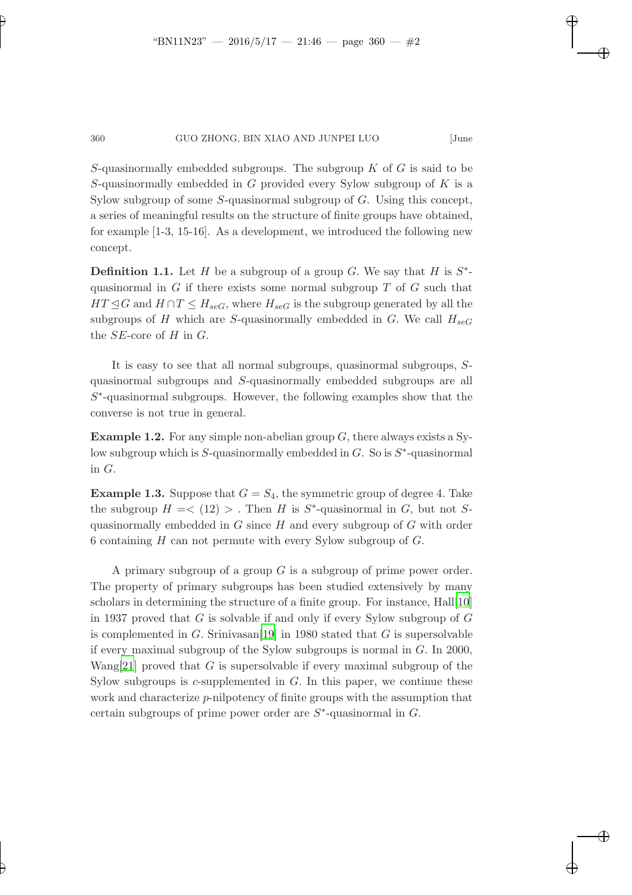"BN11N23" — 2016/5/17 — 21:46 — page 360 — #2

S-quasinormally embedded subgroups. The subgroup  $K$  of  $G$  is said to be S-quasinormally embedded in  $G$  provided every Sylow subgroup of  $K$  is a Sylow subgroup of some  $S$ -quasinormal subgroup of  $G$ . Using this concept, a series of meaningful results on the structure of finite groups have obtained, for example [1-3, 15-16]. As a development, we introduced the following new concept.

**Definition 1.1.** Let H be a subgroup of a group G. We say that H is  $S^*$ quasinormal in  $G$  if there exists some normal subgroup  $T$  of  $G$  such that  $HT \trianglelefteq G$  and  $H \cap T \leq H_{\text{seG}}$ , where  $H_{\text{seG}}$  is the subgroup generated by all the subgroups of H which are S-quasinormally embedded in G. We call  $H_{\text{seG}}$ the  $SE$ -core of H in G.

It is easy to see that all normal subgroups, quasinormal subgroups, Squasinormal subgroups and S-quasinormally embedded subgroups are all  $S^*$ -quasinormal subgroups. However, the following examples show that the converse is not true in general.

**Example 1.2.** For any simple non-abelian group  $G$ , there always exists a Sylow subgroup which is  $S$ -quasinormally embedded in  $G$ . So is  $S^*$ -quasinormal in G.

**Example 1.3.** Suppose that  $G = S_4$ , the symmetric group of degree 4. Take the subgroup  $H = \langle 12 \rangle > 1$ . Then H is S<sup>\*</sup>-quasinormal in G, but not S<sup>2</sup> quasinormally embedded in  $G$  since  $H$  and every subgroup of  $G$  with order 6 containing  $H$  can not permute with every Sylow subgroup of  $G$ .

A primary subgroup of a group G is a subgroup of prime power order. The property of primary subgroups has been studied extensively by many scholars in determining the structure of a finite group. For instance, Hall[\[10](#page-9-2)] in 1937 proved that  $G$  is solvable if and only if every Sylow subgroup of  $G$ is complemented in  $G$ . Srinivasan<sup>[\[19\]](#page-10-3)</sup> in 1980 stated that  $G$  is supersolvable if every maximal subgroup of the Sylow subgroups is normal in G. In 2000, Wang[\[21\]](#page-10-4) proved that  $G$  is supersolvable if every maximal subgroup of the Sylow subgroups is  $c$ -supplemented in  $G$ . In this paper, we continue these work and characterize p-nilpotency of finite groups with the assumption that certain subgroups of prime power order are  $S^*$ -quasinormal in  $G$ .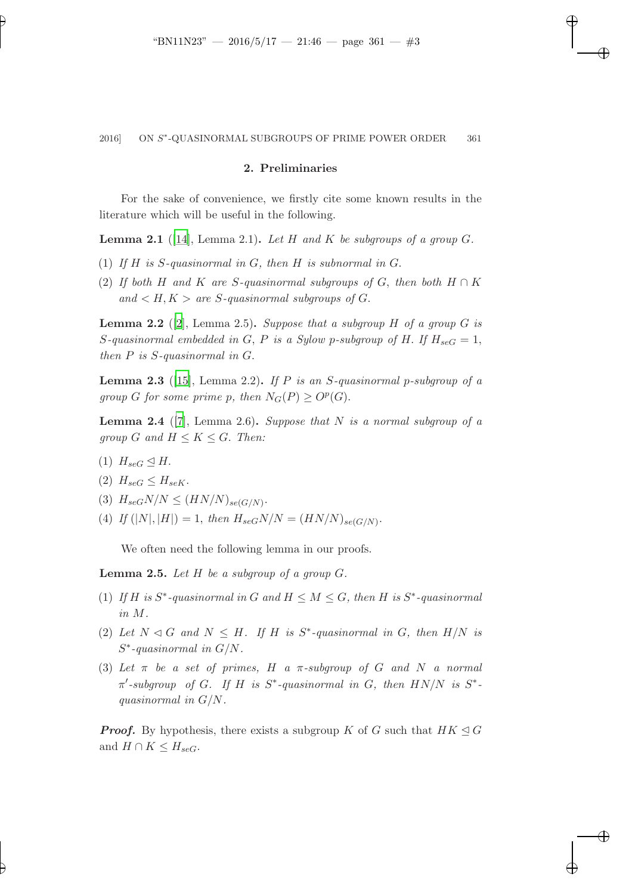"BN11N23" — 2016/5/17 — 21:46 — page 361 — #3

#### 2. Preliminaries

For the sake of convenience, we firstly cite some known results in the literature which will be useful in the following.

**Lemma 2.1** ([\[14](#page-10-5)], Lemma 2.1). Let H and K be subgroups of a group  $G$ .

- (1) *If* H *is* S*-quasinormal in* G*, then* H *is subnormal in* G.
- (2) *If both* H and K are S-quasinormal subgroups of G, then both  $H \cap K$  $and < H, K > are S-quasinormal subgroups of G.$

Lemma 2.2 ([\[2](#page-9-3)], Lemma 2.5). *Suppose that a subgroup* H *of a group* G *is* S-quasinormal embedded in G, P is a Sylow p-subgroup of H. If  $H_{\text{seG}} = 1$ , *then* P *is* S*-quasinormal in* G.

Lemma 2.3 ([\[15](#page-10-6)], Lemma 2.2). *If* P *is an* S*-quasinormal* p*-subgroup of a group G for some prime p, then*  $N_G(P) \geq O^p(G)$ *.* 

Lemma 2.4 ([\[7](#page-9-4)], Lemma 2.6). *Suppose that* N *is a normal subgroup of a group* G and  $H \leq K \leq G$ . *Then:* 

- (1)  $H_{\text{seG}} \trianglelefteq H$ .
- (2)  $H_{\text{seG}} \leq H_{\text{seK}}$ .
- (3)  $H_{seG}N/N \leq (HN/N)_{se(G/N)}$ .
- (4) If  $(|N|, |H|) = 1$ , then  $H_{seG}N/N = (HN/N)_{se(G/N)}$ .

We often need the following lemma in our proofs.

Lemma 2.5. *Let* H *be a subgroup of a group* G*.*

- (1) If H is  $S^*$ -quasinormal in G and  $H \leq M \leq G$ , then H is  $S^*$ -quasinormal *in* M*.*
- (2) Let  $N \triangleleft G$  and  $N \leq H$ . If H is  $S^*$ -quasinormal in G, then  $H/N$  is S ∗ *-quasinormal in* G/N*.*
- (3) *Let* π *be a set of primes,* H *a* π*-subgroup of* G *and* N *a normal*  $\pi'$ -subgroup of *G*. If *H* is  $S^*$ -quasinormal in *G*, then  $HN/N$  is  $S^*$ *quasinormal in* G/N*.*

**Proof.** By hypothesis, there exists a subgroup K of G such that  $HK \trianglelefteq G$ and  $H \cap K \leq H_{\text{seG}}$ .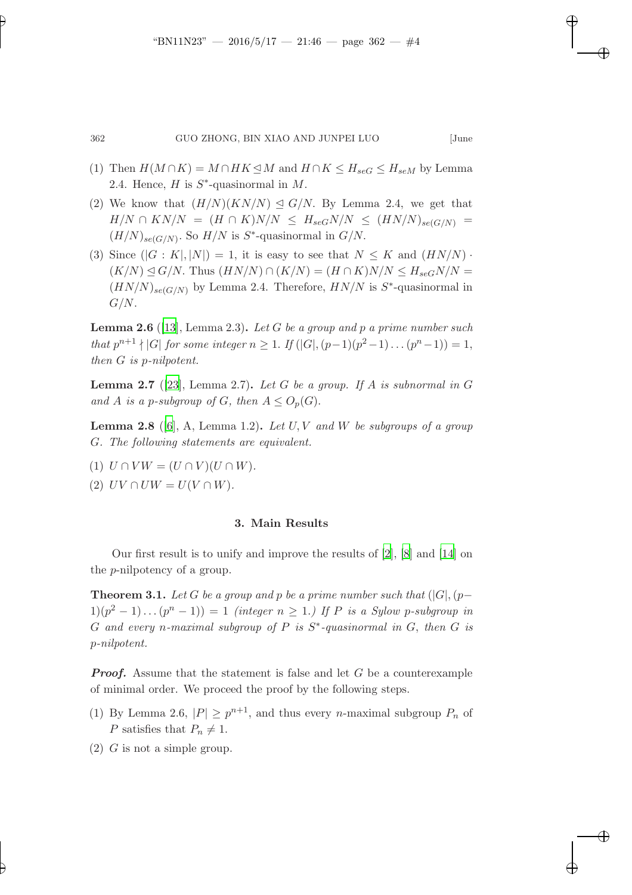"BN11N23" — 2016/5/17 — 21:46 — page 362 — #4

- (1) Then  $H(M \cap K) = M \cap HK \leq M$  and  $H \cap K \leq H_{seG} \leq H_{seM}$  by Lemma 2.4. Hence,  $H$  is  $S^*$ -quasinormal in  $M$ .
- (2) We know that  $(H/N)(KN/N) \trianglelefteq G/N$ . By Lemma 2.4, we get that  $H/N \cap KN/N = (H \cap K)N/N \leq H_{seG}N/N \leq (HN/N)_{se(G/N)}$  =  $(H/N)_{se(G/N)}$ . So  $H/N$  is  $S^*$ -quasinormal in  $G/N$ .
- (3) Since  $(|G: K|, |N|) = 1$ , it is easy to see that  $N \leq K$  and  $(HN/N)$ .  $(K/N) \trianglelefteq G/N$ . Thus  $(HN/N) \cap (K/N) = (H \cap K)N/N \leq H_{seG}N/N =$  $(HN/N)_{se(G/N)}$  by Lemma 2.4. Therefore,  $HN/N$  is  $S^*$ -quasinormal in  $G/N$ .

Lemma 2.6 ([\[13](#page-10-7)], Lemma 2.3). *Let* G *be a group and* p *a prime number such that*  $p^{n+1} \nmid |G|$  *for some integer*  $n \geq 1$ . *If*  $(|G|, (p-1)(p^2-1) \dots (p^n-1)) = 1$ , *then* G *is* p*-nilpotent.*

Lemma 2.7 ([\[23](#page-10-8)], Lemma 2.7). *Let* G *be a group. If* A *is subnormal in* G *and* A *is a p-subgroup of* G, then  $A \leq O_p(G)$ .

Lemma 2.8 ([\[6](#page-9-5)], A, Lemma 1.2). *Let* U, V *and* W *be subgroups of a group* G*. The following statements are equivalent.*

- (1)  $U \cap VW = (U \cap V)(U \cap W)$ .
- (2)  $UV \cap UW = U(V \cap W)$ *.*

### 3. Main Results

Our first result is to unify and improve the results of [\[2](#page-9-3)], [\[8](#page-9-6)] and [\[14\]](#page-10-5) on the p-nilpotency of a group.

**Theorem 3.1.** Let G be a group and p be a prime number such that  $(|G|, (p-\ell))$  $1)(p^2-1)...(p^n-1)) = 1$  *(integer*  $n \geq 1$ *.)* If P is a Sylow p-subgroup in G *and every* n*-maximal subgroup of* P *is* S ∗ *-quasinormal in* G, *then* G *is* p*-nilpotent.*

**Proof.** Assume that the statement is false and let  $G$  be a counterexample of minimal order. We proceed the proof by the following steps.

- (1) By Lemma 2.6,  $|P| \geq p^{n+1}$ , and thus every *n*-maximal subgroup  $P_n$  of P satisfies that  $P_n \neq 1$ .
- $(2)$  G is not a simple group.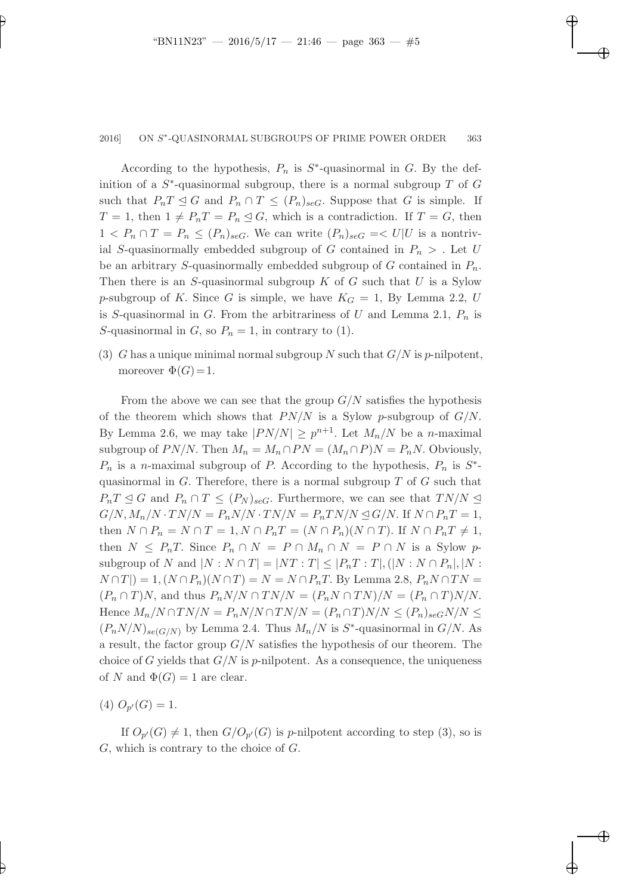"BN11N23" — 2016/5/17 — 21:46 — page 363 — #5

According to the hypothesis,  $P_n$  is  $S^*$ -quasinormal in G. By the definition of a  $S^*$ -quasinormal subgroup, there is a normal subgroup T of G such that  $P_nT \leq G$  and  $P_n \cap T \leq (P_n)_{\text{se}G}$ . Suppose that G is simple. If  $T = 1$ , then  $1 \neq P_nT = P_n \trianglelefteq G$ , which is a contradiction. If  $T = G$ , then  $1 < P_n \cap T = P_n \leq (P_n)_{\text{seG}}$ . We can write  $(P_n)_{\text{seG}} \leq U|U$  is a nontrivial S-quasinormally embedded subgroup of G contained in  $P_n >$ . Let U be an arbitrary S-quasinormally embedded subgroup of G contained in  $P_n$ . Then there is an  $S$ -quasinormal subgroup  $K$  of  $G$  such that  $U$  is a Sylow p-subgroup of K. Since G is simple, we have  $K_G = 1$ , By Lemma 2.2, U is S-quasinormal in G. From the arbitrariness of U and Lemma 2.1,  $P_n$  is S-quasinormal in G, so  $P_n = 1$ , in contrary to (1).

(3) G has a unique minimal normal subgroup N such that  $G/N$  is p-nilpotent, moreover  $\Phi(G) = 1$ .

From the above we can see that the group  $G/N$  satisfies the hypothesis of the theorem which shows that  $PN/N$  is a Sylow p-subgroup of  $G/N$ . By Lemma 2.6, we may take  $|PN/N| \geq p^{n+1}$ . Let  $M_n/N$  be a *n*-maximal subgroup of  $PN/N$ . Then  $M_n = M_n \cap PN = (M_n \cap P)N = P_nN$ . Obviously,  $P_n$  is a n-maximal subgroup of P. According to the hypothesis,  $P_n$  is  $S^*$ quasinormal in  $G$ . Therefore, there is a normal subgroup  $T$  of  $G$  such that  $P_nT \leq G$  and  $P_n \cap T \leq (P_N)_{\text{sec}}$ . Furthermore, we can see that  $TN/N \leq$  $G/N, M_n/N \cdot TN/N = P_nN/N \cdot TN/N = P_nTN/N \trianglelefteq G/N$ . If  $N \cap P_nT = 1$ , then  $N \cap P_n = N \cap T = 1, N \cap P_n = (N \cap P_n)(N \cap T)$ . If  $N \cap P_n = 1$ , then  $N \leq P_nT$ . Since  $P_n \cap N = P \cap M_n \cap N = P \cap N$  is a Sylow psubgroup of N and  $|N: N \cap T| = |NT: T| \leq |P_nT:T|, (|N:N \cap P_n|, |N:$  $N \cap T$ ) = 1,  $(N \cap P_n)(N \cap T) = N = N \cap P_nT$ . By Lemma 2.8,  $P_n N \cap TN =$  $(P_n \cap T)N$ , and thus  $P_nN/N \cap TN/N = (P_nN \cap TN)/N = (P_n \cap T)N/N$ . Hence  $M_n/N \cap TN/N = P_nN/N \cap TN/N = (P_n \cap T)N/N \le (P_n)_{seG}N/N \le$  $(P_n N/N)_{se(G/N)}$  by Lemma 2.4. Thus  $M_n/N$  is  $S^*$ -quasinormal in  $G/N$ . As a result, the factor group  $G/N$  satisfies the hypothesis of our theorem. The choice of G yields that  $G/N$  is p-nilpotent. As a consequence, the uniqueness of N and  $\Phi(G) = 1$  are clear.

(4)  $O_{p'}(G) = 1.$ 

If  $O_{p'}(G) \neq 1$ , then  $G/O_{p'}(G)$  is p-nilpotent according to step (3), so is G, which is contrary to the choice of G.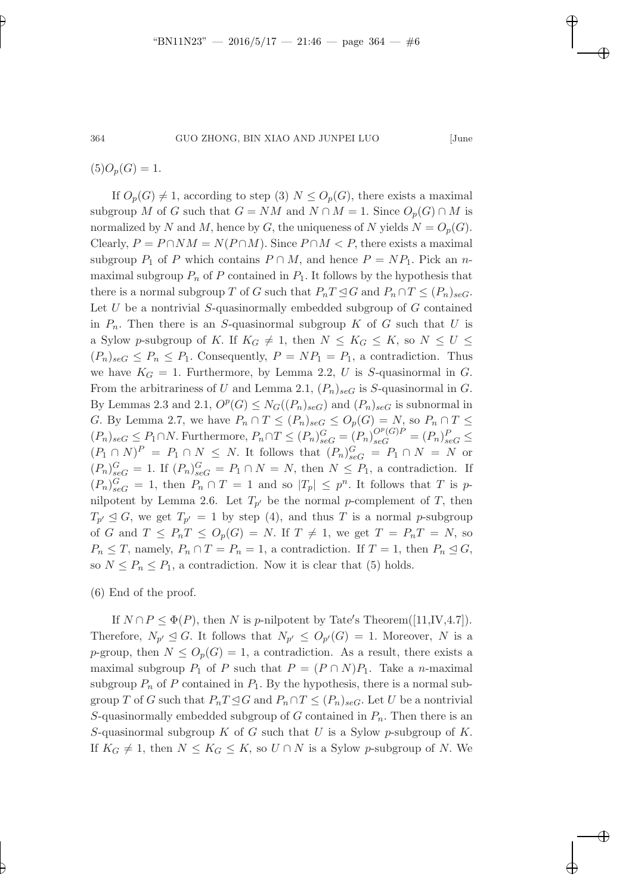"BN11N23" — 2016/5/17 — 21:46 — page 364 — #6

 $(5)O_p(G) = 1.$ 

If  $O_p(G) \neq 1$ , according to step (3)  $N \leq O_p(G)$ , there exists a maximal subgroup M of G such that  $G = NM$  and  $N \cap M = 1$ . Since  $O_p(G) \cap M$  is normalized by N and M, hence by G, the uniqueness of N yields  $N = O_p(G)$ . Clearly,  $P = P \cap NM = N(P \cap M)$ . Since  $P \cap M < P$ , there exists a maximal subgroup  $P_1$  of P which contains  $P \cap M$ , and hence  $P = NP_1$ . Pick an nmaximal subgroup  $P_n$  of P contained in  $P_1$ . It follows by the hypothesis that there is a normal subgroup T of G such that  $P_nT \trianglelefteq G$  and  $P_n \cap T \leq (P_n)_{\text{sec}}$ . Let  $U$  be a nontrivial  $S$ -quasinormally embedded subgroup of  $G$  contained in  $P_n$ . Then there is an S-quasinormal subgroup K of G such that U is a Sylow p-subgroup of K. If  $K_G \neq 1$ , then  $N \leq K_G \leq K$ , so  $N \leq U \leq$  $(P_n)_{\text{seG}} \leq P_n \leq P_1$ . Consequently,  $P = NP_1 = P_1$ , a contradiction. Thus we have  $K_G = 1$ . Furthermore, by Lemma 2.2, U is S-quasinormal in G. From the arbitrariness of U and Lemma 2.1,  $(P_n)_{\text{seG}}$  is S-quasinormal in G. By Lemmas 2.3 and 2.1,  $O^p(G) \leq N_G((P_n)_{\text{sec}})$  and  $(P_n)_{\text{sec}}$  is subnormal in G. By Lemma 2.7, we have  $P_n \cap T \leq (P_n)_{\text{seG}} \leq O_p(G) = N$ , so  $P_n \cap T \leq$  $(P_n)_{\text{seG}} \leq P_1 \cap N$ . Furthermore,  $P_n \cap T \leq (P_n)_{\text{seG}}^G = (P_n)_{\text{seG}}^{O^p(G)P} = (P_n)_{\text{seG}}^P \leq$  $(P_1 \cap N)^P = P_1 \cap N \leq N$ . It follows that  $(P_n)_{\text{seG}}^G = P_1 \cap N = N$  or  $(P_n)_{\text{seG}}^G = 1$ . If  $(P_n)_{\text{seG}}^G = P_1 \cap N = N$ , then  $N \leq P_1$ , a contradiction. If  $(P_n)_{\text{seG}}^G = 1$ , then  $P_n \cap T = 1$  and so  $|T_p| \leq p^n$ . It follows that T is pnilpotent by Lemma 2.6. Let  $T_{p'}$  be the normal p-complement of T, then  $T_{p'} \trianglelefteq G$ , we get  $T_{p'} = 1$  by step (4), and thus T is a normal p-subgroup of G and  $T \leq P_nT \leq O_p(G) = N$ . If  $T \neq 1$ , we get  $T = P_nT = N$ , so  $P_n \leq T$ , namely,  $P_n \cap T = P_n = 1$ , a contradiction. If  $T = 1$ , then  $P_n \leq G$ , so  $N \leq P_n \leq P_1$ , a contradiction. Now it is clear that (5) holds.

(6) End of the proof.

If  $N \cap P \leq \Phi(P)$ , then N is p-nilpotent by Tate's Theorem([11,IV,4.7]). Therefore,  $N_{p'} \trianglelefteq G$ . It follows that  $N_{p'} \leq O_{p'}(G) = 1$ . Moreover, N is a p-group, then  $N \leq O_p(G) = 1$ , a contradiction. As a result, there exists a maximal subgroup  $P_1$  of P such that  $P = (P \cap N)P_1$ . Take a n-maximal subgroup  $P_n$  of P contained in  $P_1$ . By the hypothesis, there is a normal subgroup T of G such that  $P_nT \leq G$  and  $P_n \cap T \leq (P_n)_{\text{seG}}$ . Let U be a nontrivial S-quasinormally embedded subgroup of G contained in  $P_n$ . Then there is an S-quasinormal subgroup  $K$  of  $G$  such that  $U$  is a Sylow p-subgroup of  $K$ . If  $K_G \neq 1$ , then  $N \leq K_G \leq K$ , so  $U \cap N$  is a Sylow p-subgroup of N. We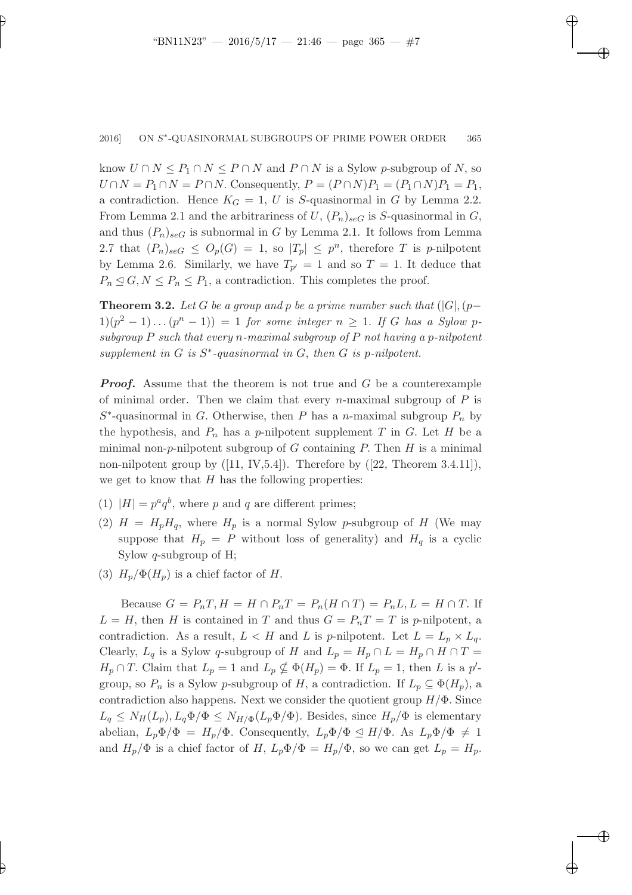1211 — 2016/5/17 — 2017/5/17 — **21:47 — page 31:47 — page 31:47 — page 3**65 — page 365 — page 365 — page 365 — pag

know  $U \cap N \leq P_1 \cap N \leq P \cap N$  and  $P \cap N$  is a Sylow p-subgroup of N, so  $U \cap N = P_1 \cap N = P \cap N$ . Consequently,  $P = (P \cap N)P_1 = (P_1 \cap N)P_1 = P_1$ , a contradiction. Hence  $K_G = 1$ , U is S-quasinormal in G by Lemma 2.2. From Lemma 2.1 and the arbitrariness of U,  $(P_n)_{\text{seG}}$  is S-quasinormal in G, and thus  $(P_n)_{\text{seG}}$  is subnormal in G by Lemma 2.1. It follows from Lemma 2.7 that  $(P_n)_{\text{se}G} \leq O_p(G) = 1$ , so  $|T_p| \leq p^n$ , therefore T is p-nilpotent by Lemma 2.6. Similarly, we have  $T_{p'} = 1$  and so  $T = 1$ . It deduce that  $P_n \leq G, N \leq P_n \leq P_1$ , a contradiction. This completes the proof.

**Theorem 3.2.** Let G be a group and p be a prime number such that  $(|G|, (p-\mathbb{I}))$  $1)(p^2 - 1)...(p^n - 1) = 1$  *for some integer*  $n \ge 1$ . If G has a Sylow p*subgroup* P *such that every* n*-maximal subgroup of* P *not having a* p*-nilpotent supplement in* G *is* S ∗ *-quasinormal in* G, *then* G *is* p*-nilpotent.*

**Proof.** Assume that the theorem is not true and  $G$  be a counterexample of minimal order. Then we claim that every *n*-maximal subgroup of  $P$  is  $S^*$ -quasinormal in G. Otherwise, then P has a n-maximal subgroup  $P_n$  by the hypothesis, and  $P_n$  has a p-nilpotent supplement T in G. Let H be a minimal non-p-nilpotent subgroup of G containing P. Then  $H$  is a minimal non-nilpotent group by  $([11, IV, 5.4])$ . Therefore by  $([22, Theorem 3.4.11])$ , we get to know that  $H$  has the following properties:

- (1)  $|H| = p^a q^b$ , where p and q are different primes;
- (2)  $H = H_p H_q$ , where  $H_p$  is a normal Sylow p-subgroup of H (We may suppose that  $H_p = P$  without loss of generality) and  $H_q$  is a cyclic Sylow q-subgroup of H;
- (3)  $H_p/\Phi(H_p)$  is a chief factor of H.

Because  $G = P_nT$ ,  $H = H \cap P_nT = P_n(H \cap T) = P_nL$ ,  $L = H \cap T$ . If  $L = H$ , then H is contained in T and thus  $G = P_nT = T$  is p-nilpotent, a contradiction. As a result,  $L < H$  and L is p-nilpotent. Let  $L = L_p \times L_q$ . Clearly,  $L_q$  is a Sylow q-subgroup of H and  $L_p = H_p \cap L = H_p \cap H \cap T =$  $H_p \cap T$ . Claim that  $L_p = 1$  and  $L_p \nsubseteq \Phi(H_p) = \Phi$ . If  $L_p = 1$ , then L is a p'group, so  $P_n$  is a Sylow p-subgroup of H, a contradiction. If  $L_p \subseteq \Phi(H_p)$ , a contradiction also happens. Next we consider the quotient group  $H/\Phi$ . Since  $L_q \leq N_H(L_p), L_q \Phi/\Phi \leq N_{H/\Phi}(L_p \Phi/\Phi)$ . Besides, since  $H_p/\Phi$  is elementary abelian,  $L_p \Phi / \Phi = H_p / \Phi$ . Consequently,  $L_p \Phi / \Phi \leq H / \Phi$ . As  $L_p \Phi / \Phi \neq 1$ and  $H_p/\Phi$  is a chief factor of H,  $L_p\Phi/\Phi = H_p/\Phi$ , so we can get  $L_p = H_p$ .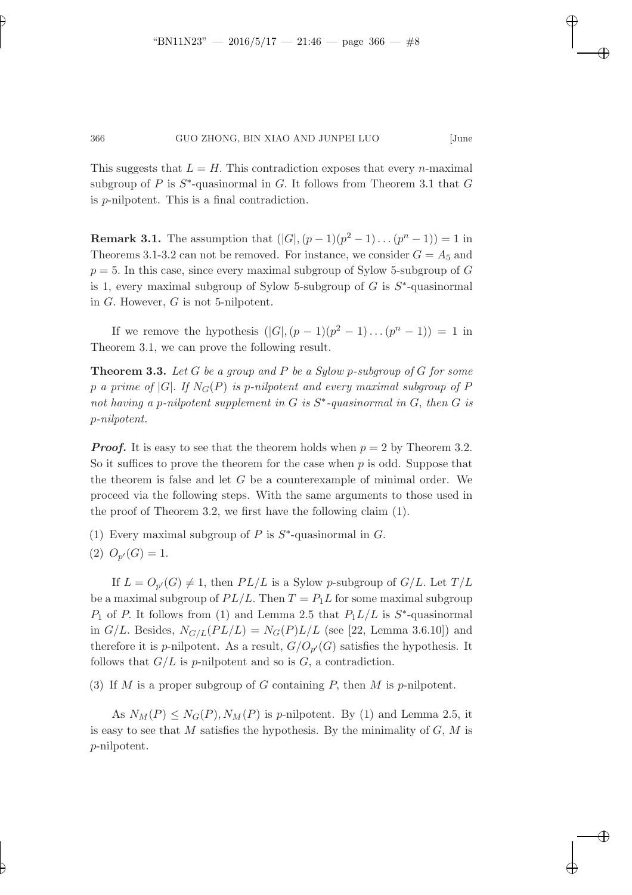"BN11N23" — 2016/5/17 — 21:46 — page 366 — #8

This suggests that  $L = H$ . This contradiction exposes that every *n*-maximal subgroup of  $P$  is  $S^*$ -quasinormal in  $G$ . It follows from Theorem 3.1 that  $G$ is p-nilpotent. This is a final contradiction.

**Remark 3.1.** The assumption that  $(|G|, (p-1)(p^2-1)...(p^n-1)) = 1$  in Theorems 3.1-3.2 can not be removed. For instance, we consider  $G = A_5$  and  $p = 5$ . In this case, since every maximal subgroup of Sylow 5-subgroup of G is 1, every maximal subgroup of Sylow 5-subgroup of  $G$  is  $S^*$ -quasinormal in G. However, G is not 5-nilpotent.

If we remove the hypothesis  $(|G|, (p-1)(p^2-1)...(p^n-1)) = 1$  in Theorem 3.1, we can prove the following result.

Theorem 3.3. *Let* G *be a group and* P *be a Sylow* p*-subgroup of* G *for some* p *a prime of* |G|. If  $N_G(P)$  *is p-nilpotent and every maximal subgroup of* P *not having a p-nilpotent supplement in*  $G$  *is*  $S^*$ -quasinormal in  $G$ , then  $G$  *is* p*-nilpotent.*

**Proof.** It is easy to see that the theorem holds when  $p = 2$  by Theorem 3.2. So it suffices to prove the theorem for the case when  $p$  is odd. Suppose that the theorem is false and let  $G$  be a counterexample of minimal order. We proceed via the following steps. With the same arguments to those used in the proof of Theorem 3.2, we first have the following claim (1).

(1) Every maximal subgroup of  $P$  is  $S^*$ -quasinormal in  $G$ .

$$
(2) O_{p'}(G) = 1.
$$

If  $L = O_{p'}(G) \neq 1$ , then  $PL/L$  is a Sylow p-subgroup of  $G/L$ . Let  $T/L$ be a maximal subgroup of  $PL/L$ . Then  $T = P<sub>1</sub>L$  for some maximal subgroup  $P_1$  of P. It follows from (1) and Lemma 2.5 that  $P_1L/L$  is  $S^*$ -quasinormal in  $G/L$ . Besides,  $N_{G/L}(PL/L) = N_G(P)L/L$  (see [22, Lemma 3.6.10]) and therefore it is *p*-nilpotent. As a result,  $G/O_{p'}(G)$  satisfies the hypothesis. It follows that  $G/L$  is p-nilpotent and so is  $G$ , a contradiction.

(3) If M is a proper subgroup of G containing P, then M is p-nilpotent.

As  $N_M(P) \leq N_G(P), N_M(P)$  is p-nilpotent. By (1) and Lemma 2.5, it is easy to see that M satisfies the hypothesis. By the minimality of  $G, M$  is p-nilpotent.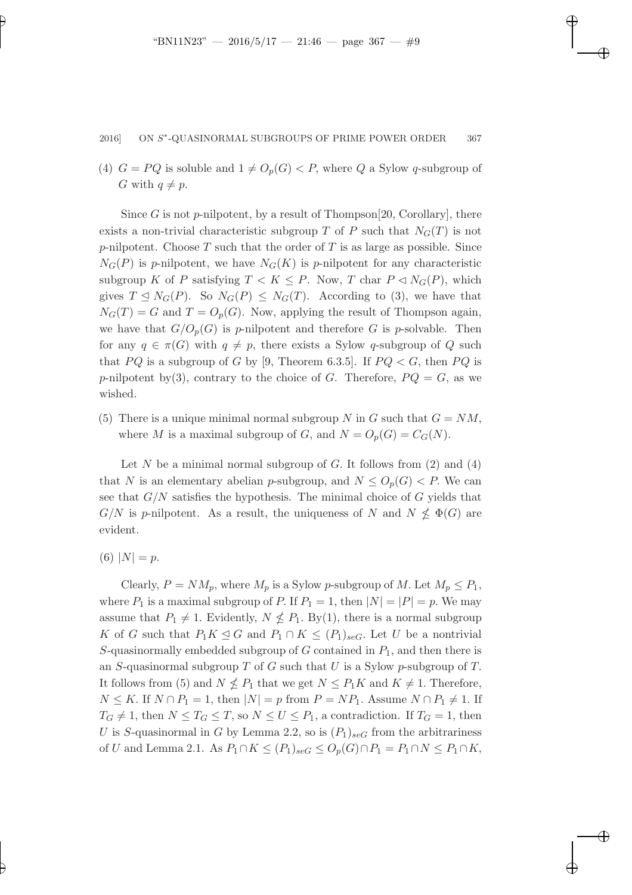"BN11N23" — 2016/5/17 — 21:46 — page 367 — #9

(4)  $G = PQ$  is soluble and  $1 \neq O_p(G) < P$ , where Q a Sylow q-subgroup of G with  $q \neq p$ .

Since G is not p-nilpotent, by a result of Thompson[20, Corollary], there exists a non-trivial characteristic subgroup T of P such that  $N<sub>G</sub>(T)$  is not p-nilpotent. Choose  $T$  such that the order of  $T$  is as large as possible. Since  $N_G(P)$  is p-nilpotent, we have  $N_G(K)$  is p-nilpotent for any characteristic subgroup K of P satisfying  $T < K \leq P$ . Now, T char  $P \triangleleft N_G(P)$ , which gives  $T \leq N_G(P)$ . So  $N_G(P) \leq N_G(T)$ . According to (3), we have that  $N_G(T) = G$  and  $T = O_p(G)$ . Now, applying the result of Thompson again, we have that  $G/O_p(G)$  is p-nilpotent and therefore G is p-solvable. Then for any  $q \in \pi(G)$  with  $q \neq p$ , there exists a Sylow q-subgroup of Q such that PQ is a subgroup of G by [9, Theorem 6.3.5]. If  $PQ < G$ , then PQ is p-nilpotent by (3), contrary to the choice of G. Therefore,  $PQ = G$ , as we wished.

(5) There is a unique minimal normal subgroup N in G such that  $G = NM$ , where M is a maximal subgroup of G, and  $N = O_p(G) = C_G(N)$ .

Let N be a minimal normal subgroup of G. It follows from  $(2)$  and  $(4)$ that N is an elementary abelian p-subgroup, and  $N \leq O_p(G) < P$ . We can see that  $G/N$  satisfies the hypothesis. The minimal choice of  $G$  yields that  $G/N$  is p-nilpotent. As a result, the uniqueness of N and  $N \nleq \Phi(G)$  are evident.

(6)  $|N| = p$ .

Clearly,  $P = NM_p$ , where  $M_p$  is a Sylow p-subgroup of M. Let  $M_p \leq P_1$ , where  $P_1$  is a maximal subgroup of P. If  $P_1 = 1$ , then  $|N| = |P| = p$ . We may assume that  $P_1 \neq 1$ . Evidently,  $N \nleq P_1$ . By(1), there is a normal subgroup K of G such that  $P_1K \leq G$  and  $P_1 \cap K \leq (P_1)_{seG}$ . Let U be a nontrivial S-quasinormally embedded subgroup of  $G$  contained in  $P_1$ , and then there is an S-quasinormal subgroup  $T$  of  $G$  such that  $U$  is a Sylow p-subgroup of  $T$ . It follows from (5) and  $N \nleq P_1$  that we get  $N \leq P_1K$  and  $K \neq 1$ . Therefore,  $N \leq K$ . If  $N \cap P_1 = 1$ , then  $|N| = p$  from  $P = NP_1$ . Assume  $N \cap P_1 \neq 1$ . If  $T_G \neq 1$ , then  $N \leq T_G \leq T$ , so  $N \leq U \leq P_1$ , a contradiction. If  $T_G = 1$ , then U is S-quasinormal in G by Lemma 2.2, so is  $(P_1)_{\text{scG}}$  from the arbitrariness of U and Lemma 2.1. As  $P_1 \cap K \leq (P_1)_{\text{seG}} \leq O_p(G) \cap P_1 = P_1 \cap N \leq P_1 \cap K$ ,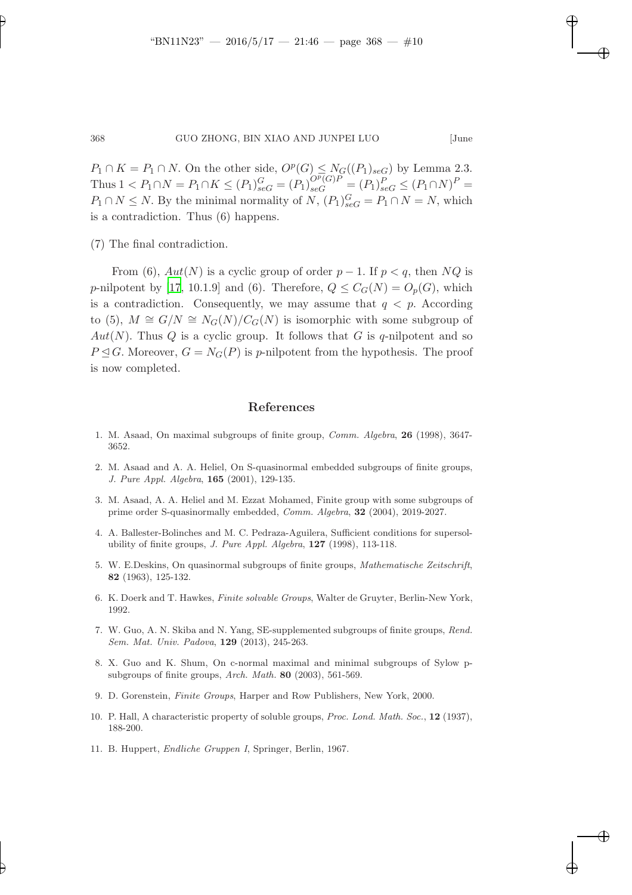1111 — 2016/5/17 — 21:46 — page 31:46 — page 31:46 — page 31:46 — page 31:46 — page 31:46 — page 31:46 — page 31:46 — page 31:46 — page 31:46 — page 31:46 — page 31:46 — page 31:46 — page 31:46 — page 31:46 — page 31:46 —

 $P_1 \cap K = P_1 \cap N$ . On the other side,  $O^p(G) \leq N_G((P_1)_{\text{seG}})$  by Lemma 2.3. Thus  $1 < P_1 \cap N = P_1 \cap K \leq (P_1)_{\text{seG}}^G = (P_1)_{\text{seG}}^{O^p(G)P} = (P_1)_{\text{seG}}^P \leq (P_1 \cap N)^P =$  $P_1 \cap N \leq N$ . By the minimal normality of  $N$ ,  $(P_1)_{\text{sc}G}^G = P_1 \cap N = N$ , which is a contradiction. Thus (6) happens.

(7) The final contradiction.

From (6),  $Aut(N)$  is a cyclic group of order  $p-1$ . If  $p < q$ , then NQ is p-nilpotent by [\[17](#page-10-0), 10.1.9] and (6). Therefore,  $Q \leq C_G(N) = O_p(G)$ , which is a contradiction. Consequently, we may assume that  $q < p$ . According to (5),  $M \cong G/N \cong N_G(N)/C_G(N)$  is isomorphic with some subgroup of  $Aut(N)$ . Thus Q is a cyclic group. It follows that G is q-nilpotent and so  $P \triangleleft G$ . Moreover,  $G = N_G(P)$  is p-nilpotent from the hypothesis. The proof is now completed.

## References

- 1. M. Asaad, On maximal subgroups of finite group, Comm. Algebra, 26 (1998), 3647- 3652.
- <span id="page-9-3"></span>2. M. Asaad and A. A. Heliel, On S-quasinormal embedded subgroups of finite groups, J. Pure Appl. Algebra, 165 (2001), 129-135.
- 3. M. Asaad, A. A. Heliel and M. Ezzat Mohamed, Finite group with some subgroups of prime order S-quasinormally embedded, Comm. Algebra, 32 (2004), 2019-2027.
- <span id="page-9-1"></span>4. A. Ballester-Bolinches and M. C. Pedraza-Aguilera, Sufficient conditions for supersolubility of finite groups,  $J.$  Pure Appl. Algebra,  $127$  (1998), 113-118.
- <span id="page-9-0"></span>5. W. E.Deskins, On quasinormal subgroups of finite groups, Mathematische Zeitschrift, 82 (1963), 125-132.
- <span id="page-9-5"></span>6. K. Doerk and T. Hawkes, Finite solvable Groups, Walter de Gruyter, Berlin-New York, 1992.
- <span id="page-9-4"></span>7. W. Guo, A. N. Skiba and N. Yang, SE-supplemented subgroups of finite groups, Rend. Sem. Mat. Univ. Padova, 129 (2013), 245-263.
- <span id="page-9-6"></span>8. X. Guo and K. Shum, On c-normal maximal and minimal subgroups of Sylow psubgroups of finite groups, Arch. Math. 80 (2003), 561-569.
- 9. D. Gorenstein, Finite Groups, Harper and Row Publishers, New York, 2000.
- <span id="page-9-2"></span>10. P. Hall, A characteristic property of soluble groups, Proc. Lond. Math. Soc., 12 (1937), 188-200.
- 11. B. Huppert, Endliche Gruppen I, Springer, Berlin, 1967.